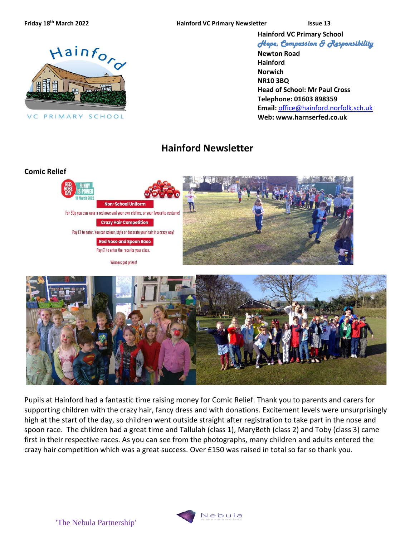**the Mainford VC Primary Newsletter Issue 13** 

**Hainford VC Primary School**

Hainford VC PRIMARY SCHOOL

*Hope, Compassion & Responsibility*  **Newton Road Hainford**

**Norwich NR10 3BQ Head of School: Mr Paul Cross Telephone: 01603 898359 Email:** [office@hainford.norfolk.sch.uk](mailto:office@hainfordfirst.norfolk.sch.uk) **Web: www.harnserfed.co.uk**

# **Hainford Newsletter**



Pupils at Hainford had a fantastic time raising money for Comic Relief. Thank you to parents and carers for supporting children with the crazy hair, fancy dress and with donations. Excitement levels were unsurprisingly high at the start of the day, so children went outside straight after registration to take part in the nose and spoon race. The children had a great time and Tallulah (class 1), MaryBeth (class 2) and Toby (class 3) came first in their respective races. As you can see from the photographs, many children and adults entered the

crazy hair competition which was a great success. Over £150 was raised in total so far so thank you.

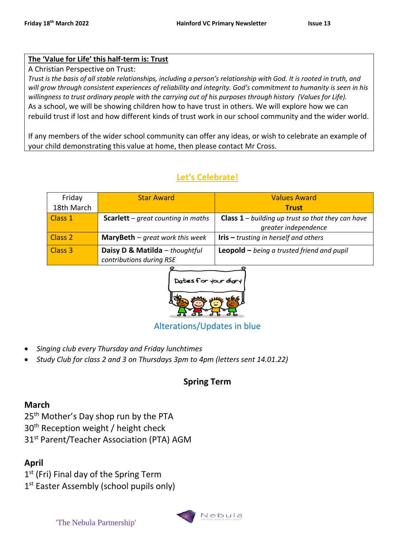#### **The 'Value for Life' this half-term is: Trust**

A Christian Perspective on Trust:

*Trust is the basis of all stable relationships, including a person's relationship with God. It is rooted in truth, and*  will grow through consistent experiences of reliability and integrity. God's commitment to humanity is seen in his *willingness to trust ordinary people with the carrying out of his purposes through history (Values for Life).* As a school, we will be showing children how to have trust in others. We will explore how we can rebuild trust if lost and how different kinds of trust work in our school community and the wider world.

If any members of the wider school community can offer any ideas, or wish to celebrate an example of your child demonstrating this value at home, then please contact Mr Cross.

# **Let's Celebrate!**

| Friday             | <b>Star Award</b>                                          | <b>Values Award</b>                                      |
|--------------------|------------------------------------------------------------|----------------------------------------------------------|
| 18th March         |                                                            | <b>Trust</b>                                             |
| Class 1            | <b>Scarlett</b> – great counting in maths                  | <b>Class 1</b> – building up trust so that they can have |
|                    |                                                            | greater independence                                     |
| Class <sub>2</sub> | <b>MaryBeth</b> $-$ great work this week                   | <b>Iris</b> $-$ trusting in herself and others           |
| Class <sub>3</sub> | Daisy D & Matilda - thoughtful<br>contributions during RSE | Leopold $-$ being a trusted friend and pupil             |



### Alterations/Updates in blue

- *Singing club every Thursday and Friday lunchtimes*
- *Study Club for class 2 and 3 on Thursdays 3pm to 4pm (letters sent 14.01.22)*

# **Spring Term**

#### **March**

25<sup>th</sup> Mother's Day shop run by the PTA 30<sup>th</sup> Reception weight / height check

31<sup>st</sup> Parent/Teacher Association (PTA) AGM

### **April**

1<sup>st</sup> (Fri) Final day of the Spring Term

1<sup>st</sup> Easter Assembly (school pupils only)